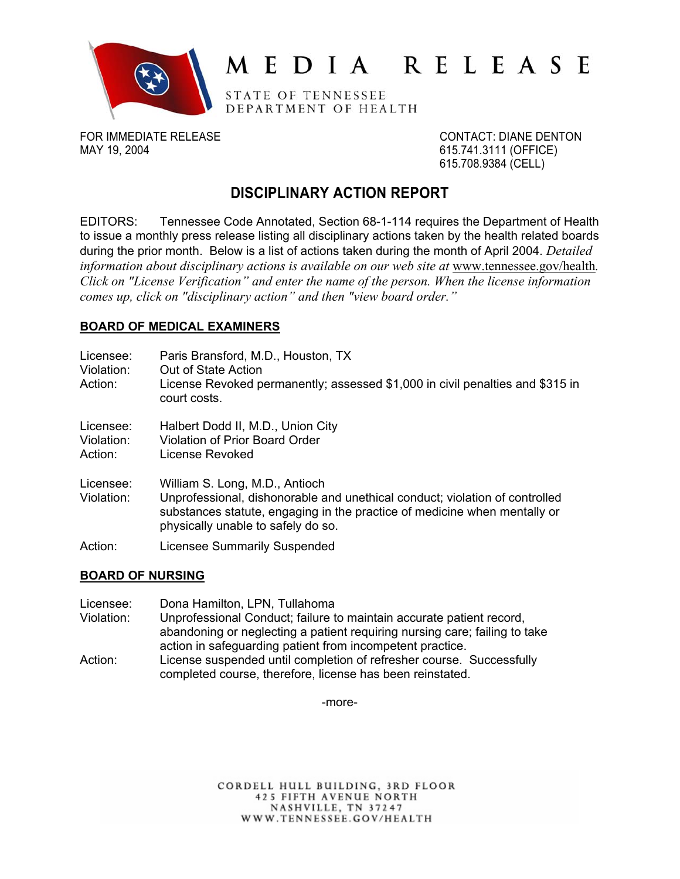

# MEDIA RELEASE

STATE OF TENNESSEE DEPARTMENT OF HEALTH

FOR IMMEDIATE RELEASE CONTACT: DIANE DENTON MAY 19, 2004 615.741.3111 (OFFICE)

615.708.9384 (CELL)

# **DISCIPLINARY ACTION REPORT**

EDITORS: Tennessee Code Annotated, Section 68-1-114 requires the Department of Health to issue a monthly press release listing all disciplinary actions taken by the health related boards during the prior month. Below is a list of actions taken during the month of April 2004. *Detailed information about disciplinary actions is available on our web site at [www.tennessee.gov/health](http://www.tennessee.gov/health). Click on "License Verification" and enter the name of the person. When the license information comes up, click on "disciplinary action" and then "view board order."* 

# **BOARD OF MEDICAL EXAMINERS**

- Licensee: Paris Bransford, M.D., Houston, TX
- Violation: Out of State Action
- Action: License Revoked permanently; assessed \$1,000 in civil penalties and \$315 in court costs.

Licensee: Halbert Dodd II, M.D., Union City

Violation: Violation of Prior Board Order

Action: License Revoked

Licensee: William S. Long, M.D., Antioch

Violation: Unprofessional, dishonorable and unethical conduct; violation of controlled substances statute, engaging in the practice of medicine when mentally or physically unable to safely do so.

Action: Licensee Summarily Suspended

## **BOARD OF NURSING**

Licensee: Dona Hamilton, LPN, Tullahoma

Violation: Unprofessional Conduct; failure to maintain accurate patient record, abandoning or neglecting a patient requiring nursing care; failing to take action in safeguarding patient from incompetent practice.

Action: License suspended until completion of refresher course. Successfully completed course, therefore, license has been reinstated.

-more-

CORDELL HULL BUILDING, 3RD FLOOR **425 FIFTH AVENUE NORTH** NASHVILLE, TN 37247 WWW.TENNESSEE.GOV/HEALTH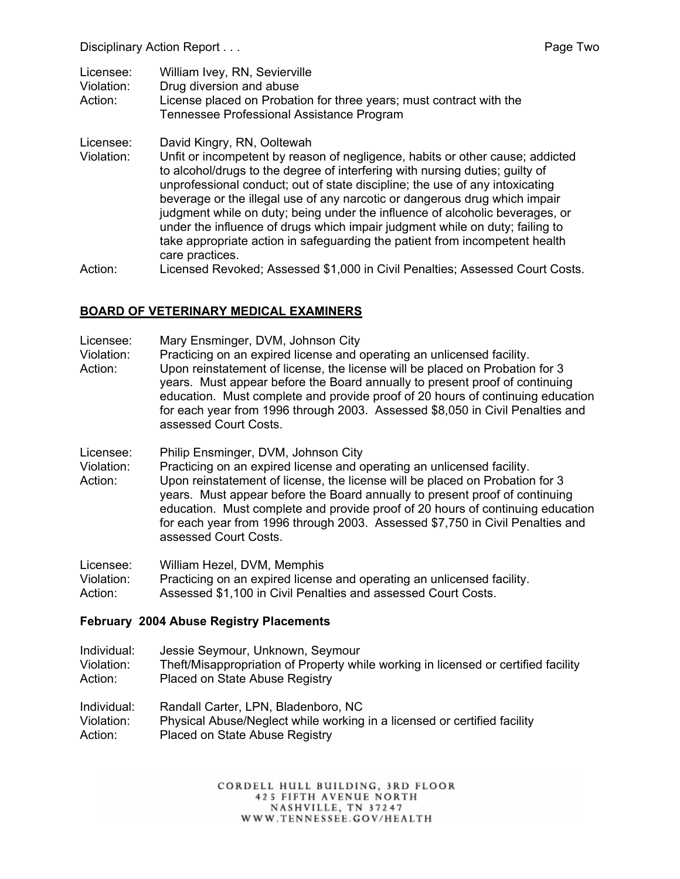| Licensee:  | William Ivey, RN, Sevierville                                                                                    |
|------------|------------------------------------------------------------------------------------------------------------------|
| Violation: | Drug diversion and abuse                                                                                         |
| Action:    | License placed on Probation for three years; must contract with the<br>Tennessee Professional Assistance Program |

#### Licensee: David Kingry, RN, Ooltewah

Violation: Unfit or incompetent by reason of negligence, habits or other cause; addicted to alcohol/drugs to the degree of interfering with nursing duties; guilty of unprofessional conduct; out of state discipline; the use of any intoxicating beverage or the illegal use of any narcotic or dangerous drug which impair judgment while on duty; being under the influence of alcoholic beverages, or under the influence of drugs which impair judgment while on duty; failing to take appropriate action in safeguarding the patient from incompetent health care practices.

Action: Licensed Revoked; Assessed \$1,000 in Civil Penalties; Assessed Court Costs.

## **BOARD OF VETERINARY MEDICAL EXAMINERS**

Licensee: Mary Ensminger, DVM, Johnson City

Violation: Practicing on an expired license and operating an unlicensed facility.

- Action: Upon reinstatement of license, the license will be placed on Probation for 3 years. Must appear before the Board annually to present proof of continuing education. Must complete and provide proof of 20 hours of continuing education for each year from 1996 through 2003. Assessed \$8,050 in Civil Penalties and assessed Court Costs.
- Licensee: Philip Ensminger, DVM, Johnson City

Violation: Practicing on an expired license and operating an unlicensed facility.

Action: Upon reinstatement of license, the license will be placed on Probation for 3 years. Must appear before the Board annually to present proof of continuing education. Must complete and provide proof of 20 hours of continuing education for each year from 1996 through 2003. Assessed \$7,750 in Civil Penalties and assessed Court Costs.

Licensee: William Hezel, DVM, Memphis

Violation: Practicing on an expired license and operating an unlicensed facility.

Action: Assessed \$1,100 in Civil Penalties and assessed Court Costs.

## **February 2004 Abuse Registry Placements**

- Individual: Jessie Seymour, Unknown, Seymour
- Violation: Theft/Misappropriation of Property while working in licensed or certified facility Action: Placed on State Abuse Registry

Individual: Randall Carter, LPN, Bladenboro, NC

Violation: Physical Abuse/Neglect while working in a licensed or certified facility Action: Placed on State Abuse Registry

> CORDELL HULL BUILDING, 3RD FLOOR **425 FIFTH AVENUE NORTH** NASHVILLE, TN 37247 WWW.TENNESSEE.GOV/HEALTH